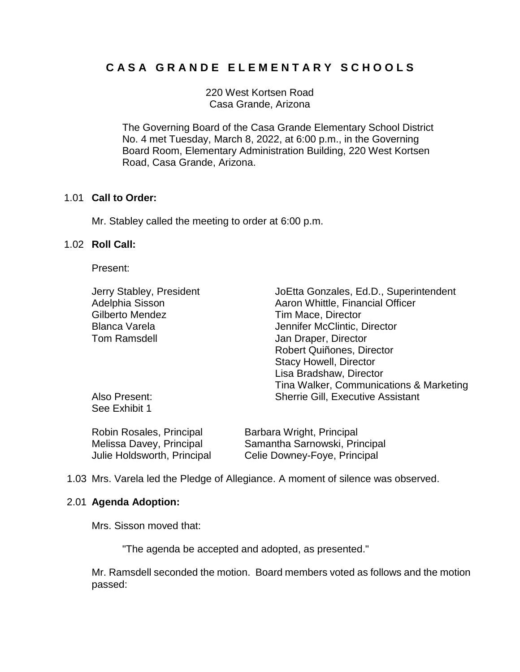## **C A S A G R A N D E E L E M E N T A R Y S C H O O L S**

220 West Kortsen Road Casa Grande, Arizona

The Governing Board of the Casa Grande Elementary School District No. 4 met Tuesday, March 8, 2022, at 6:00 p.m., in the Governing Board Room, Elementary Administration Building, 220 West Kortsen Road, Casa Grande, Arizona.

### 1.01 **Call to Order:**

Mr. Stabley called the meeting to order at 6:00 p.m.

## 1.02 **Roll Call:**

Present:

| Jerry Stabley, President       | JoEtta Gonzales, Ed.D., Superintendent   |
|--------------------------------|------------------------------------------|
| Adelphia Sisson                | Aaron Whittle, Financial Officer         |
| <b>Gilberto Mendez</b>         | Tim Mace, Director                       |
| <b>Blanca Varela</b>           | Jennifer McClintic, Director             |
| <b>Tom Ramsdell</b>            | Jan Draper, Director                     |
|                                | Robert Quiñones, Director                |
|                                | <b>Stacy Howell, Director</b>            |
|                                | Lisa Bradshaw, Director                  |
|                                | Tina Walker, Communications & Marketing  |
| Also Present:<br>See Exhibit 1 | <b>Sherrie Gill, Executive Assistant</b> |

| Robin Rosales, Principal    | Barbara Wright, Principal     |
|-----------------------------|-------------------------------|
| Melissa Davey, Principal    | Samantha Sarnowski, Principal |
| Julie Holdsworth, Principal | Celie Downey-Foye, Principal  |

1.03 Mrs. Varela led the Pledge of Allegiance. A moment of silence was observed.

### 2.01 **Agenda Adoption:**

Mrs. Sisson moved that:

"The agenda be accepted and adopted, as presented."

Mr. Ramsdell seconded the motion. Board members voted as follows and the motion passed: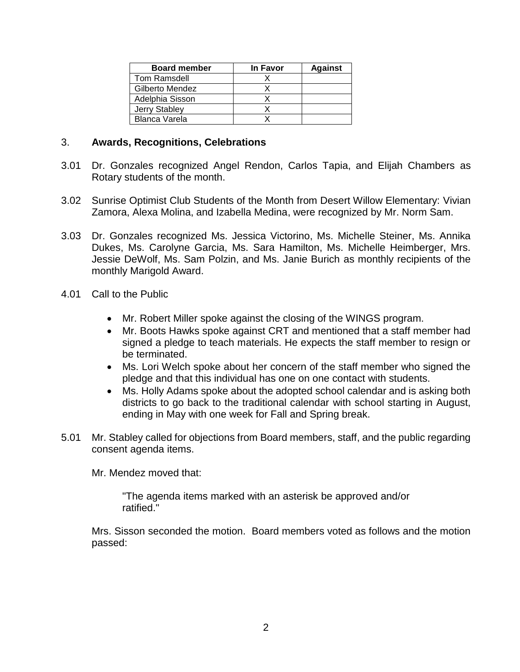| <b>Board member</b>  | In Favor | <b>Against</b> |
|----------------------|----------|----------------|
| Tom Ramsdell         |          |                |
| Gilberto Mendez      |          |                |
| Adelphia Sisson      |          |                |
| Jerry Stabley        |          |                |
| <b>Blanca Varela</b> |          |                |

## 3. **Awards, Recognitions, Celebrations**

- 3.01 Dr. Gonzales recognized Angel Rendon, Carlos Tapia, and Elijah Chambers as Rotary students of the month.
- 3.02 Sunrise Optimist Club Students of the Month from Desert Willow Elementary: Vivian Zamora, Alexa Molina, and Izabella Medina, were recognized by Mr. Norm Sam.
- 3.03 Dr. Gonzales recognized Ms. Jessica Victorino, Ms. Michelle Steiner, Ms. Annika Dukes, Ms. Carolyne Garcia, Ms. Sara Hamilton, Ms. Michelle Heimberger, Mrs. Jessie DeWolf, Ms. Sam Polzin, and Ms. Janie Burich as monthly recipients of the monthly Marigold Award.
- 4.01 Call to the Public
	- Mr. Robert Miller spoke against the closing of the WINGS program.
	- Mr. Boots Hawks spoke against CRT and mentioned that a staff member had signed a pledge to teach materials. He expects the staff member to resign or be terminated.
	- Ms. Lori Welch spoke about her concern of the staff member who signed the pledge and that this individual has one on one contact with students.
	- Ms. Holly Adams spoke about the adopted school calendar and is asking both districts to go back to the traditional calendar with school starting in August, ending in May with one week for Fall and Spring break.
- 5.01 Mr. Stabley called for objections from Board members, staff, and the public regarding consent agenda items.

Mr. Mendez moved that:

"The agenda items marked with an asterisk be approved and/or ratified."

Mrs. Sisson seconded the motion. Board members voted as follows and the motion passed: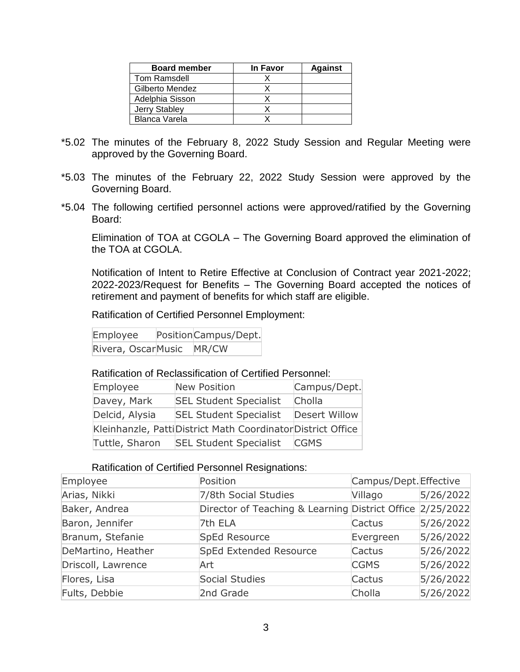| <b>Board member</b> | In Favor | <b>Against</b> |
|---------------------|----------|----------------|
| Tom Ramsdell        |          |                |
| Gilberto Mendez     |          |                |
| Adelphia Sisson     |          |                |
| Jerry Stabley       |          |                |
| Blanca Varela       |          |                |

- \*5.02 The minutes of the February 8, 2022 Study Session and Regular Meeting were approved by the Governing Board.
- \*5.03 The minutes of the February 22, 2022 Study Session were approved by the Governing Board.
- \*5.04 The following certified personnel actions were approved/ratified by the Governing Board:

Elimination of TOA at CGOLA – The Governing Board approved the elimination of the TOA at CGOLA.

Notification of Intent to Retire Effective at Conclusion of Contract year 2021-2022; 2022-2023/Request for Benefits – The Governing Board accepted the notices of retirement and payment of benefits for which staff are eligible.

Ratification of Certified Personnel Employment:

Employee PositionCampus/Dept. Rivera, OscarMusic MR/CW

### Ratification of Reclassification of Certified Personnel:

| Employee       | <b>New Position</b>                                          | Campus/Dept.         |
|----------------|--------------------------------------------------------------|----------------------|
| Davey, Mark    | <b>SEL Student Specialist</b>                                | Cholla               |
| Delcid, Alysia | <b>SEL Student Specialist</b>                                | <b>Desert Willow</b> |
|                | Kleinhanzle, Patti District Math Coordinator District Office |                      |
| Tuttle, Sharon | <b>SEL Student Specialist</b>                                | <b>CGMS</b>          |

#### Ratification of Certified Personnel Resignations:

| Employee           | Position                                                  | Campus/Dept. Effective |           |
|--------------------|-----------------------------------------------------------|------------------------|-----------|
| Arias, Nikki       | 7/8th Social Studies                                      | Villago                | 5/26/2022 |
| Baker, Andrea      | Director of Teaching & Learning District Office 2/25/2022 |                        |           |
| Baron, Jennifer    | 7th ELA                                                   | Cactus                 | 5/26/2022 |
| Branum, Stefanie   | SpEd Resource                                             | Evergreen              | 5/26/2022 |
| DeMartino, Heather | SpEd Extended Resource                                    | Cactus                 | 5/26/2022 |
| Driscoll, Lawrence | Art                                                       | <b>CGMS</b>            | 5/26/2022 |
| Flores, Lisa       | Social Studies                                            | Cactus                 | 5/26/2022 |
| Fults, Debbie      | 2nd Grade                                                 | Cholla                 | 5/26/2022 |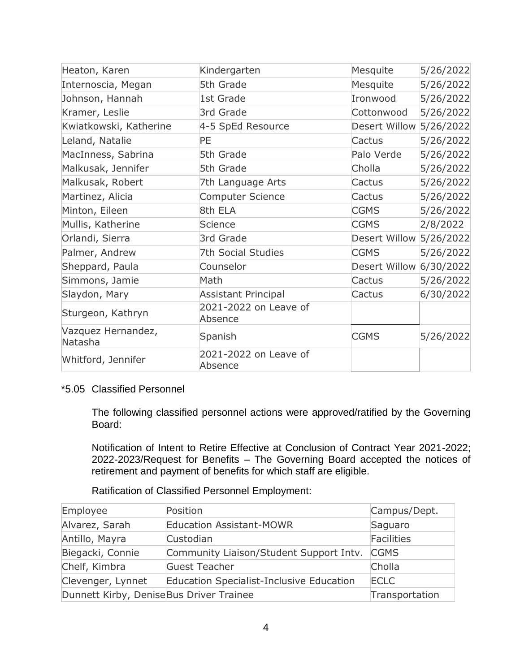| Heaton, Karen                 | Kindergarten                     | Mesquite                | 5/26/2022 |
|-------------------------------|----------------------------------|-------------------------|-----------|
| Internoscia, Megan            | 5th Grade                        | Mesquite                | 5/26/2022 |
| Johnson, Hannah               | 1st Grade                        | Ironwood                | 5/26/2022 |
| Kramer, Leslie                | 3rd Grade                        | Cottonwood              | 5/26/2022 |
| Kwiatkowski, Katherine        | 4-5 SpEd Resource                | Desert Willow           | 5/26/2022 |
| Leland, Natalie               | PE                               | Cactus                  | 5/26/2022 |
| MacInness, Sabrina            | 5th Grade                        | Palo Verde              | 5/26/2022 |
| Malkusak, Jennifer            | 5th Grade                        | Cholla                  | 5/26/2022 |
| Malkusak, Robert              | 7th Language Arts                | Cactus                  | 5/26/2022 |
| Martinez, Alicia              | Computer Science                 | Cactus                  | 5/26/2022 |
| Minton, Eileen                | 8th ELA                          | <b>CGMS</b>             | 5/26/2022 |
| Mullis, Katherine             | Science                          | <b>CGMS</b>             | 2/8/2022  |
| Orlandi, Sierra               | 3rd Grade                        | Desert Willow           | 5/26/2022 |
| Palmer, Andrew                | 7th Social Studies               | <b>CGMS</b>             | 5/26/2022 |
| Sheppard, Paula               | Counselor                        | Desert Willow 6/30/2022 |           |
| Simmons, Jamie                | Math                             | Cactus                  | 5/26/2022 |
| Slaydon, Mary                 | <b>Assistant Principal</b>       | Cactus                  | 6/30/2022 |
| Sturgeon, Kathryn             | 2021-2022 on Leave of<br>Absence |                         |           |
| Vazquez Hernandez,<br>Natasha | Spanish                          | <b>CGMS</b>             | 5/26/2022 |
| Whitford, Jennifer            | 2021-2022 on Leave of<br>Absence |                         |           |

## \*5.05 Classified Personnel

The following classified personnel actions were approved/ratified by the Governing Board:

Notification of Intent to Retire Effective at Conclusion of Contract Year 2021-2022; 2022-2023/Request for Benefits – The Governing Board accepted the notices of retirement and payment of benefits for which staff are eligible.

Ratification of Classified Personnel Employment:

| Employee                                | Position                                        | Campus/Dept.   |
|-----------------------------------------|-------------------------------------------------|----------------|
| Alvarez, Sarah                          | <b>Education Assistant-MOWR</b>                 | Saguaro        |
| Antillo, Mayra                          | Custodian                                       | Facilities     |
| Biegacki, Connie                        | Community Liaison/Student Support Intv.         | <b>CGMS</b>    |
| Chelf, Kimbra                           | Guest Teacher                                   | Cholla         |
| Clevenger, Lynnet                       | <b>Education Specialist-Inclusive Education</b> | <b>ECLC</b>    |
| Dunnett Kirby, DeniseBus Driver Trainee |                                                 | Transportation |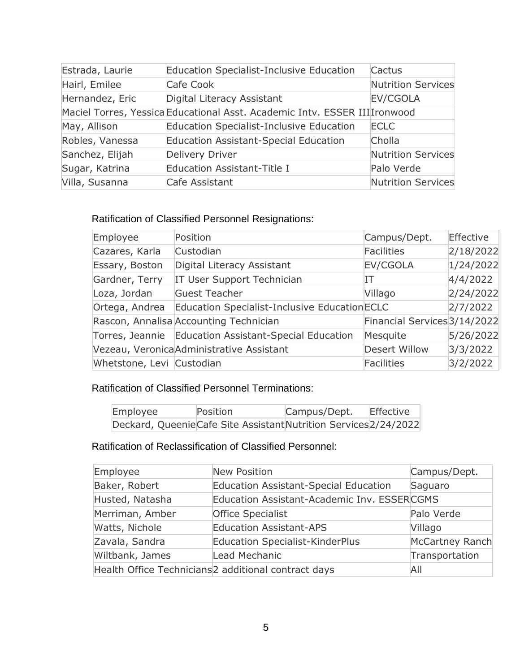| Estrada, Laurie | <b>Education Specialist-Inclusive Education</b>                            | Cactus             |
|-----------------|----------------------------------------------------------------------------|--------------------|
| Hairl, Emilee   | Cafe Cook                                                                  | Nutrition Services |
| Hernandez, Eric | Digital Literacy Assistant                                                 | EV/CGOLA           |
|                 | Maciel Torres, Yessica Educational Asst. Academic Intv. ESSER III Ironwood |                    |
| May, Allison    | <b>Education Specialist-Inclusive Education</b>                            | <b>ECLC</b>        |
| Robles, Vanessa | <b>Education Assistant-Special Education</b>                               | Cholla             |
| Sanchez, Elijah | <b>Delivery Driver</b>                                                     | Nutrition Services |
| Sugar, Katrina  | <b>Education Assistant-Title I</b>                                         | Palo Verde         |
| Villa, Susanna  | Cafe Assistant                                                             | Nutrition Services |

## Ratification of Classified Personnel Resignations:

| Employee                  | Position                                              | Campus/Dept.                 | Effective |
|---------------------------|-------------------------------------------------------|------------------------------|-----------|
| Cazares, Karla            | Custodian                                             | <b>Facilities</b>            | 2/18/2022 |
| Essary, Boston            | Digital Literacy Assistant                            | EV/CGOLA                     | 1/24/2022 |
| Gardner, Terry            | IT User Support Technician                            | IΤ                           | 4/4/2022  |
| Loza, Jordan              | <b>Guest Teacher</b>                                  | Villago                      | 2/24/2022 |
| Ortega, Andrea            | Education Specialist-Inclusive Education ECLC         |                              | 2/7/2022  |
|                           | Rascon, Annalisa Accounting Technician                | Financial Services 3/14/2022 |           |
|                           | Torres, Jeannie Education Assistant-Special Education | Mesquite                     | 5/26/2022 |
|                           | Vezeau, Veronica Administrative Assistant             | Desert Willow                | 3/3/2022  |
| Whetstone, Levi Custodian |                                                       | <b>Facilities</b>            | 3/2/2022  |

## Ratification of Classified Personnel Terminations:

| Employee | Position                                                          | Campus/Dept. | Effective |
|----------|-------------------------------------------------------------------|--------------|-----------|
|          | Deckard, Queenie Cafe Site Assistant Nutrition Services 2/24/2022 |              |           |

# Ratification of Reclassification of Classified Personnel:

| Employee        | <b>New Position</b>                                             | Campus/Dept.    |
|-----------------|-----------------------------------------------------------------|-----------------|
| Baker, Robert   | <b>Education Assistant-Special Education</b>                    | Saguaro         |
| Husted, Natasha | Education Assistant-Academic Inv. ESSERCGMS                     |                 |
| Merriman, Amber | <b>Office Specialist</b>                                        | Palo Verde      |
| Watts, Nichole  | <b>Education Assistant-APS</b>                                  | Villago         |
| Zavala, Sandra  | <b>Education Specialist-KinderPlus</b>                          | McCartney Ranch |
| Wiltbank, James | Lead Mechanic                                                   | Transportation  |
|                 | Health Office Technicians <sup>2</sup> additional contract days | All             |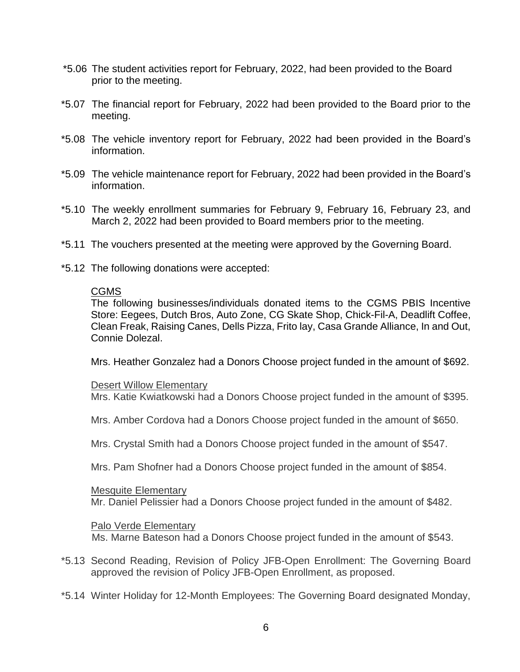- \*5.06 The student activities report for February, 2022, had been provided to the Board prior to the meeting.
- \*5.07 The financial report for February, 2022 had been provided to the Board prior to the meeting.
- \*5.08 The vehicle inventory report for February, 2022 had been provided in the Board's information.
- \*5.09 The vehicle maintenance report for February, 2022 had been provided in the Board's information.
- \*5.10 The weekly enrollment summaries for February 9, February 16, February 23, and March 2, 2022 had been provided to Board members prior to the meeting.
- \*5.11 The vouchers presented at the meeting were approved by the Governing Board.
- \*5.12 The following donations were accepted:

### CGMS

The following businesses/individuals donated items to the CGMS PBIS Incentive Store: Eegees, Dutch Bros, Auto Zone, CG Skate Shop, Chick-Fil-A, Deadlift Coffee, Clean Freak, Raising Canes, Dells Pizza, Frito lay, Casa Grande Alliance, In and Out, Connie Dolezal.

Mrs. Heather Gonzalez had a Donors Choose project funded in the amount of \$692.

### Desert Willow Elementary

Mrs. Katie Kwiatkowski had a Donors Choose project funded in the amount of \$395.

Mrs. Amber Cordova had a Donors Choose project funded in the amount of \$650.

Mrs. Crystal Smith had a Donors Choose project funded in the amount of \$547.

Mrs. Pam Shofner had a Donors Choose project funded in the amount of \$854.

### Mesquite Elementary

Mr. Daniel Pelissier had a Donors Choose project funded in the amount of \$482.

### Palo Verde Elementary

Ms. Marne Bateson had a Donors Choose project funded in the amount of \$543.

- \*5.13 Second Reading, Revision of Policy JFB-Open Enrollment: The Governing Board approved the revision of Policy JFB-Open Enrollment, as proposed.
- \*5.14 Winter Holiday for 12-Month Employees: The Governing Board designated Monday,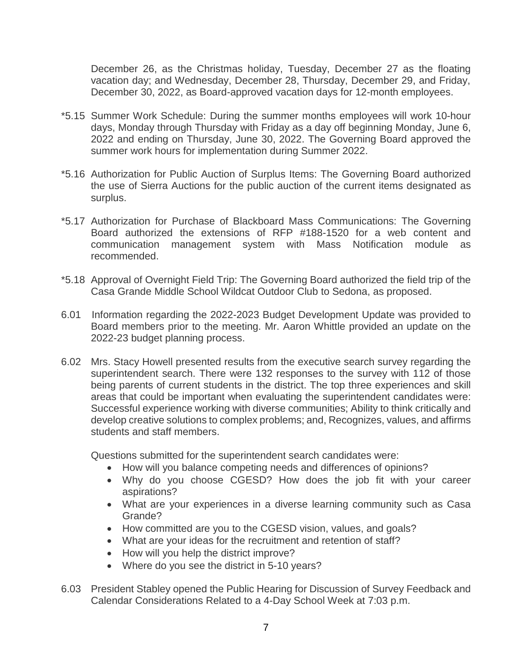December 26, as the Christmas holiday, Tuesday, December 27 as the floating vacation day; and Wednesday, December 28, Thursday, December 29, and Friday, December 30, 2022, as Board-approved vacation days for 12-month employees.

- \*5.15 Summer Work Schedule: During the summer months employees will work 10-hour days, Monday through Thursday with Friday as a day off beginning Monday, June 6, 2022 and ending on Thursday, June 30, 2022. The Governing Board approved the summer work hours for implementation during Summer 2022.
- \*5.16 Authorization for Public Auction of Surplus Items: The Governing Board authorized the use of Sierra Auctions for the public auction of the current items designated as surplus.
- \*5.17 Authorization for Purchase of Blackboard Mass Communications: The Governing Board authorized the extensions of RFP #188-1520 for a web content and communication management system with Mass Notification module as recommended.
- \*5.18 Approval of Overnight Field Trip: The Governing Board authorized the field trip of the Casa Grande Middle School Wildcat Outdoor Club to Sedona, as proposed.
- 6.01 Information regarding the 2022-2023 Budget Development Update was provided to Board members prior to the meeting. Mr. Aaron Whittle provided an update on the 2022-23 budget planning process.
- 6.02 Mrs. Stacy Howell presented results from the executive search survey regarding the superintendent search. There were 132 responses to the survey with 112 of those being parents of current students in the district. The top three experiences and skill areas that could be important when evaluating the superintendent candidates were: Successful experience working with diverse communities; Ability to think critically and develop creative solutions to complex problems; and, Recognizes, values, and affirms students and staff members.

Questions submitted for the superintendent search candidates were:

- How will you balance competing needs and differences of opinions?
- Why do you choose CGESD? How does the job fit with your career aspirations?
- What are your experiences in a diverse learning community such as Casa Grande?
- How committed are you to the CGESD vision, values, and goals?
- What are your ideas for the recruitment and retention of staff?
- How will you help the district improve?
- Where do you see the district in 5-10 years?
- 6.03 President Stabley opened the Public Hearing for Discussion of Survey Feedback and Calendar Considerations Related to a 4-Day School Week at 7:03 p.m.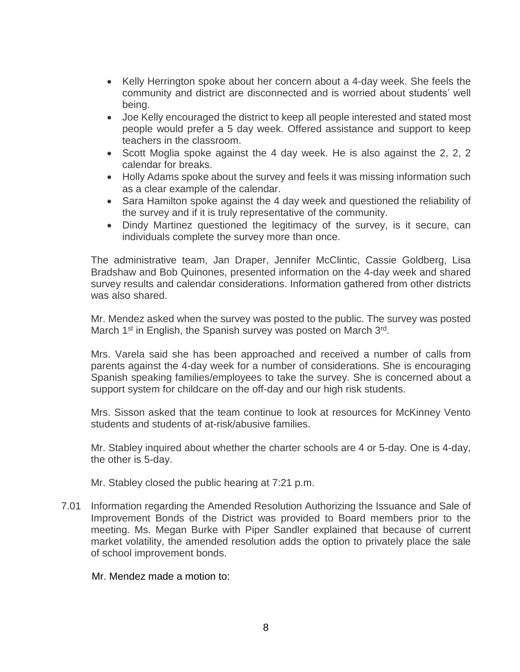- Kelly Herrington spoke about her concern about a 4-day week. She feels the community and district are disconnected and is worried about students' well being.
- Joe Kelly encouraged the district to keep all people interested and stated most people would prefer a 5 day week. Offered assistance and support to keep teachers in the classroom.
- Scott Moglia spoke against the 4 day week. He is also against the 2, 2, 2 calendar for breaks.
- Holly Adams spoke about the survey and feels it was missing information such as a clear example of the calendar.
- Sara Hamilton spoke against the 4 day week and questioned the reliability of the survey and if it is truly representative of the community.
- Dindy Martinez questioned the legitimacy of the survey, is it secure, can individuals complete the survey more than once.

The administrative team, Jan Draper, Jennifer McClintic, Cassie Goldberg, Lisa Bradshaw and Bob Quinones, presented information on the 4-day week and shared survey results and calendar considerations. Information gathered from other districts was also shared.

Mr. Mendez asked when the survey was posted to the public. The survey was posted March 1<sup>st</sup> in English, the Spanish survey was posted on March 3<sup>rd</sup>.

Mrs. Varela said she has been approached and received a number of calls from parents against the 4-day week for a number of considerations. She is encouraging Spanish speaking families/employees to take the survey. She is concerned about a support system for childcare on the off-day and our high risk students.

Mrs. Sisson asked that the team continue to look at resources for McKinney Vento students and students of at-risk/abusive families.

Mr. Stabley inquired about whether the charter schools are 4 or 5-day. One is 4-day, the other is 5-day.

Mr. Stabley closed the public hearing at 7:21 p.m.

7.01 Information regarding the Amended Resolution Authorizing the Issuance and Sale of Improvement Bonds of the District was provided to Board members prior to the meeting. Ms. Megan Burke with Piper Sandler explained that because of current market volatility, the amended resolution adds the option to privately place the sale of school improvement bonds.

Mr. Mendez made a motion to: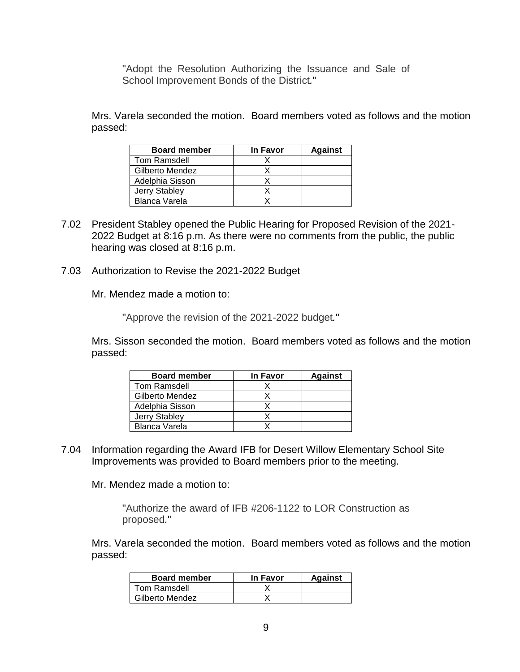"Adopt the Resolution Authorizing the Issuance and Sale of School Improvement Bonds of the District*.*"

Mrs. Varela seconded the motion. Board members voted as follows and the motion passed:

| <b>Board member</b>  | <b>In Favor</b> | <b>Against</b> |
|----------------------|-----------------|----------------|
| Tom Ramsdell         |                 |                |
| Gilberto Mendez      |                 |                |
| Adelphia Sisson      |                 |                |
| <b>Jerry Stabley</b> |                 |                |
| <b>Blanca Varela</b> |                 |                |

- 7.02 President Stabley opened the Public Hearing for Proposed Revision of the 2021- 2022 Budget at 8:16 p.m. As there were no comments from the public, the public hearing was closed at 8:16 p.m.
- 7.03 Authorization to Revise the 2021-2022 Budget

Mr. Mendez made a motion to:

"Approve the revision of the 2021-2022 budget*.*"

Mrs. Sisson seconded the motion. Board members voted as follows and the motion passed:

| <b>Board member</b> | <b>In Favor</b> | <b>Against</b> |
|---------------------|-----------------|----------------|
| Tom Ramsdell        |                 |                |
| Gilberto Mendez     |                 |                |
| Adelphia Sisson     |                 |                |
| Jerry Stabley       |                 |                |
| Blanca Varela       |                 |                |

7.04 Information regarding the Award IFB for Desert Willow Elementary School Site Improvements was provided to Board members prior to the meeting.

Mr. Mendez made a motion to:

"Authorize the award of IFB #206-1122 to LOR Construction as proposed*.*"

Mrs. Varela seconded the motion. Board members voted as follows and the motion passed:

| <b>Board member</b> | In Favor | <b>Against</b> |
|---------------------|----------|----------------|
| Tom Ramsdell        |          |                |
| Gilberto Mendez     |          |                |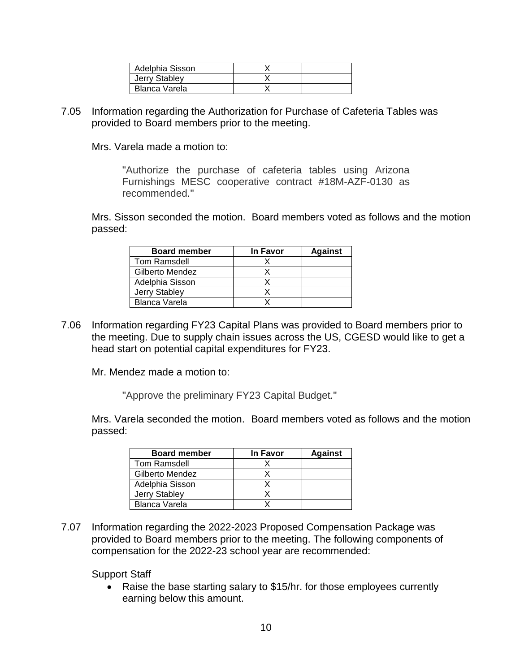| Adelphia Sisson |  |
|-----------------|--|
| Jerry Stabley   |  |
| Blanca Varela   |  |

7.05 Information regarding the Authorization for Purchase of Cafeteria Tables was provided to Board members prior to the meeting.

Mrs. Varela made a motion to:

"Authorize the purchase of cafeteria tables using Arizona Furnishings MESC cooperative contract #18M-AZF-0130 as recommended*.*"

Mrs. Sisson seconded the motion. Board members voted as follows and the motion passed:

| <b>Board member</b> | In Favor | <b>Against</b> |
|---------------------|----------|----------------|
| Tom Ramsdell        |          |                |
| Gilberto Mendez     |          |                |
| Adelphia Sisson     |          |                |
| Jerry Stabley       |          |                |
| Blanca Varela       |          |                |

7.06 Information regarding FY23 Capital Plans was provided to Board members prior to the meeting. Due to supply chain issues across the US, CGESD would like to get a head start on potential capital expenditures for FY23.

Mr. Mendez made a motion to:

"Approve the preliminary FY23 Capital Budget*.*"

Mrs. Varela seconded the motion. Board members voted as follows and the motion passed:

| <b>Board member</b> | <b>In Favor</b> | <b>Against</b> |
|---------------------|-----------------|----------------|
| Tom Ramsdell        |                 |                |
| Gilberto Mendez     |                 |                |
| Adelphia Sisson     |                 |                |
| Jerry Stabley       |                 |                |
| Blanca Varela       |                 |                |

7.07 Information regarding the 2022-2023 Proposed Compensation Package was provided to Board members prior to the meeting. The following components of compensation for the 2022-23 school year are recommended:

Support Staff

• Raise the base starting salary to \$15/hr. for those employees currently earning below this amount.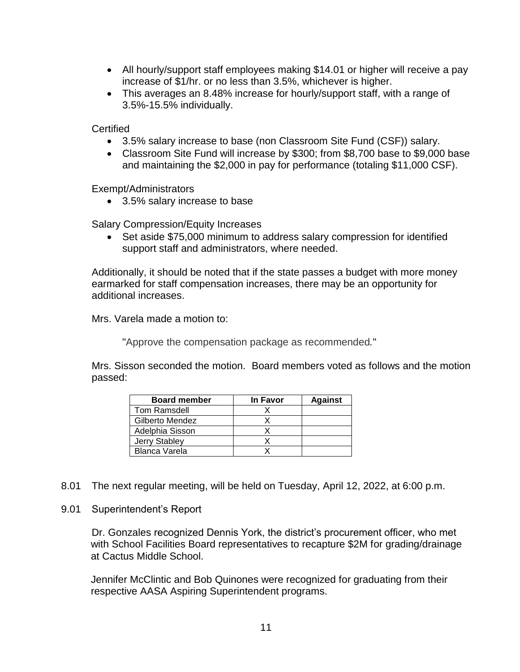- All hourly/support staff employees making \$14.01 or higher will receive a pay increase of \$1/hr. or no less than 3.5%, whichever is higher.
- This averages an 8.48% increase for hourly/support staff, with a range of 3.5%-15.5% individually.

**Certified** 

- 3.5% salary increase to base (non Classroom Site Fund (CSF)) salary.
- Classroom Site Fund will increase by \$300; from \$8,700 base to \$9,000 base and maintaining the \$2,000 in pay for performance (totaling \$11,000 CSF).

Exempt/Administrators

3.5% salary increase to base

Salary Compression/Equity Increases

• Set aside \$75,000 minimum to address salary compression for identified support staff and administrators, where needed.

Additionally, it should be noted that if the state passes a budget with more money earmarked for staff compensation increases, there may be an opportunity for additional increases.

Mrs. Varela made a motion to:

"Approve the compensation package as recommended*.*"

Mrs. Sisson seconded the motion. Board members voted as follows and the motion passed:

| <b>Board member</b>  | <b>In Favor</b> | <b>Against</b> |
|----------------------|-----------------|----------------|
| Tom Ramsdell         |                 |                |
| Gilberto Mendez      |                 |                |
| Adelphia Sisson      |                 |                |
| Jerry Stabley        |                 |                |
| <b>Blanca Varela</b> |                 |                |

- 8.01 The next regular meeting, will be held on Tuesday, April 12, 2022, at 6:00 p.m.
- 9.01 Superintendent's Report

Dr. Gonzales recognized Dennis York, the district's procurement officer, who met with School Facilities Board representatives to recapture \$2M for grading/drainage at Cactus Middle School.

Jennifer McClintic and Bob Quinones were recognized for graduating from their respective AASA Aspiring Superintendent programs.